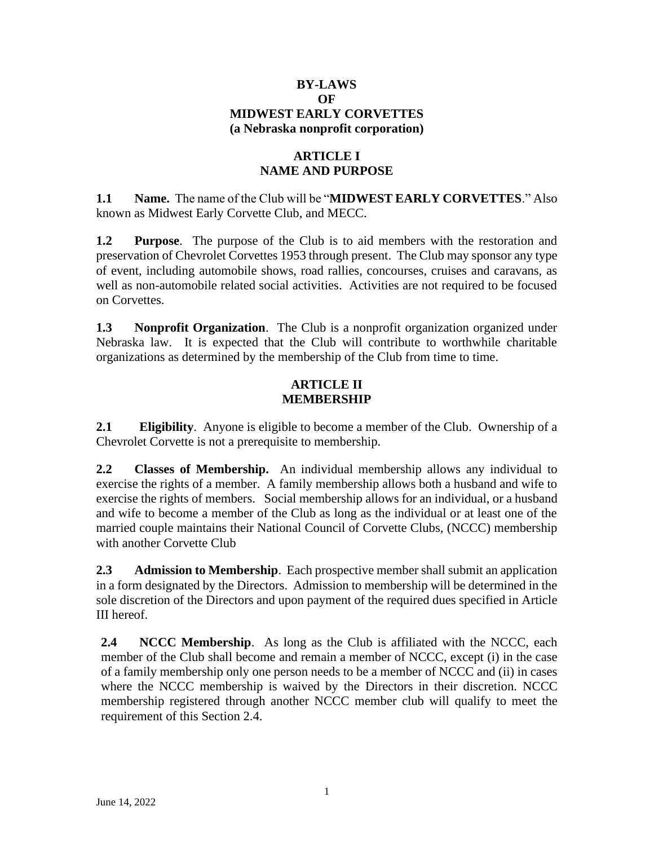### **BY-LAWS OF MIDWEST EARLY CORVETTES (a Nebraska nonprofit corporation)**

## **ARTICLE I NAME AND PURPOSE**

**1.1 Name.** The name of the Club will be "**MIDWEST EARLY CORVETTES**." Also known as Midwest Early Corvette Club, and MECC.

**1.2 Purpose**. The purpose of the Club is to aid members with the restoration and preservation of Chevrolet Corvettes 1953 through present. The Club may sponsor any type of event, including automobile shows, road rallies, concourses, cruises and caravans, as well as non-automobile related social activities. Activities are not required to be focused on Corvettes.

**1.3 Nonprofit Organization**. The Club is a nonprofit organization organized under Nebraska law. It is expected that the Club will contribute to worthwhile charitable organizations as determined by the membership of the Club from time to time.

# **ARTICLE II MEMBERSHIP**

**2.1 Eligibility**. Anyone is eligible to become a member of the Club. Ownership of a Chevrolet Corvette is not a prerequisite to membership.

**2.2 Classes of Membership.** An individual membership allows any individual to exercise the rights of a member. A family membership allows both a husband and wife to exercise the rights of members. Social membership allows for an individual, or a husband and wife to become a member of the Club as long as the individual or at least one of the married couple maintains their National Council of Corvette Clubs, (NCCC) membership with another Corvette Club

**2.3 Admission to Membership**. Each prospective member shall submit an application in a form designated by the Directors. Admission to membership will be determined in the sole discretion of the Directors and upon payment of the required dues specified in Article III hereof.

**2.4 NCCC Membership**. As long as the Club is affiliated with the NCCC, each member of the Club shall become and remain a member of NCCC, except (i) in the case of a family membership only one person needs to be a member of NCCC and (ii) in cases where the NCCC membership is waived by the Directors in their discretion. NCCC membership registered through another NCCC member club will qualify to meet the requirement of this Section 2.4.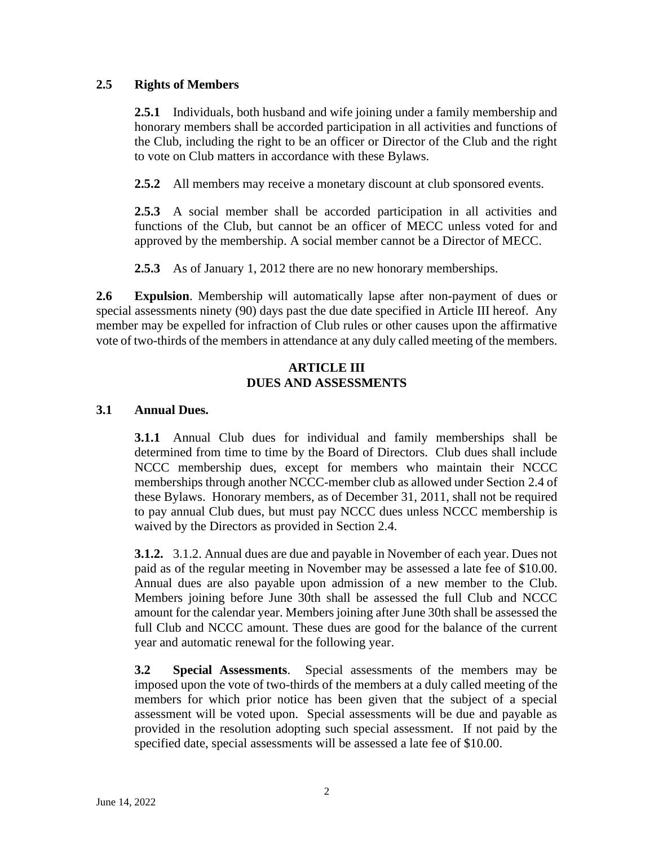## **2.5 Rights of Members**

**2.5.1** Individuals, both husband and wife joining under a family membership and honorary members shall be accorded participation in all activities and functions of the Club, including the right to be an officer or Director of the Club and the right to vote on Club matters in accordance with these Bylaws.

**2.5.2** All members may receive a monetary discount at club sponsored events.

**2.5.3** A social member shall be accorded participation in all activities and functions of the Club, but cannot be an officer of MECC unless voted for and approved by the membership. A social member cannot be a Director of MECC.

**2.5.3** As of January 1, 2012 there are no new honorary memberships.

**2.6 Expulsion**. Membership will automatically lapse after non-payment of dues or special assessments ninety (90) days past the due date specified in Article III hereof. Any member may be expelled for infraction of Club rules or other causes upon the affirmative vote of two-thirds of the members in attendance at any duly called meeting of the members.

#### **ARTICLE III DUES AND ASSESSMENTS**

## **3.1 Annual Dues.**

**3.1.1** Annual Club dues for individual and family memberships shall be determined from time to time by the Board of Directors. Club dues shall include NCCC membership dues, except for members who maintain their NCCC memberships through another NCCC-member club as allowed under Section 2.4 of these Bylaws. Honorary members, as of December 31, 2011, shall not be required to pay annual Club dues, but must pay NCCC dues unless NCCC membership is waived by the Directors as provided in Section 2.4.

**3.1.2.** 3.1.2. Annual dues are due and payable in November of each year. Dues not paid as of the regular meeting in November may be assessed a late fee of \$10.00. Annual dues are also payable upon admission of a new member to the Club. Members joining before June 30th shall be assessed the full Club and NCCC amount for the calendar year. Members joining after June 30th shall be assessed the full Club and NCCC amount. These dues are good for the balance of the current year and automatic renewal for the following year.

**3.2 Special Assessments**. Special assessments of the members may be imposed upon the vote of two-thirds of the members at a duly called meeting of the members for which prior notice has been given that the subject of a special assessment will be voted upon. Special assessments will be due and payable as provided in the resolution adopting such special assessment. If not paid by the specified date, special assessments will be assessed a late fee of \$10.00.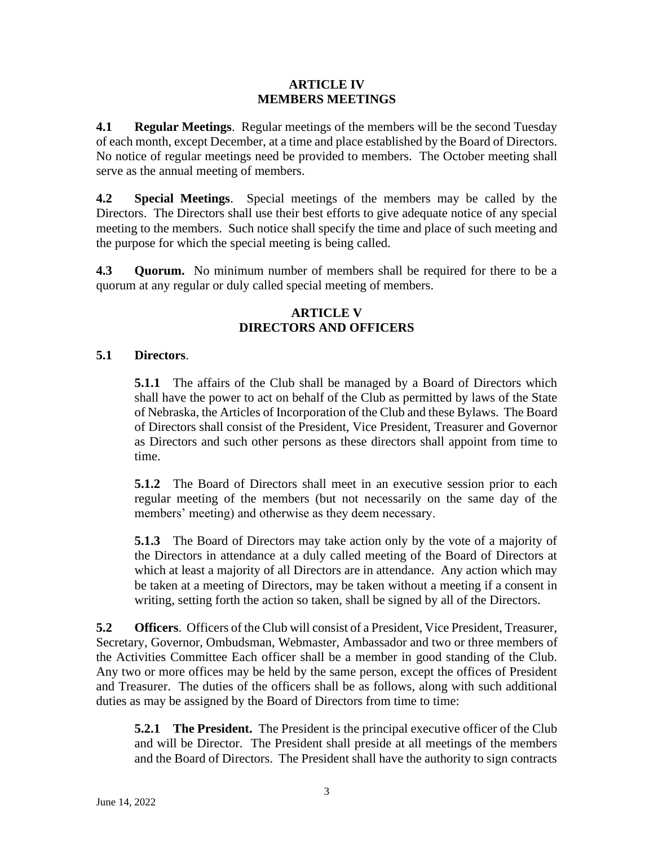#### **ARTICLE IV MEMBERS MEETINGS**

**4.1 Regular Meetings**. Regular meetings of the members will be the second Tuesday of each month, except December, at a time and place established by the Board of Directors. No notice of regular meetings need be provided to members. The October meeting shall serve as the annual meeting of members.

**4.2 Special Meetings**. Special meetings of the members may be called by the Directors. The Directors shall use their best efforts to give adequate notice of any special meeting to the members. Such notice shall specify the time and place of such meeting and the purpose for which the special meeting is being called.

**4.3 Quorum.** No minimum number of members shall be required for there to be a quorum at any regular or duly called special meeting of members.

## **ARTICLE V DIRECTORS AND OFFICERS**

# **5.1 Directors**.

**5.1.1** The affairs of the Club shall be managed by a Board of Directors which shall have the power to act on behalf of the Club as permitted by laws of the State of Nebraska, the Articles of Incorporation of the Club and these Bylaws. The Board of Directors shall consist of the President, Vice President, Treasurer and Governor as Directors and such other persons as these directors shall appoint from time to time.

**5.1.2** The Board of Directors shall meet in an executive session prior to each regular meeting of the members (but not necessarily on the same day of the members' meeting) and otherwise as they deem necessary.

**5.1.3** The Board of Directors may take action only by the vote of a majority of the Directors in attendance at a duly called meeting of the Board of Directors at which at least a majority of all Directors are in attendance. Any action which may be taken at a meeting of Directors, may be taken without a meeting if a consent in writing, setting forth the action so taken, shall be signed by all of the Directors.

**5.2 Officers**.Officers of the Club will consist of a President, Vice President, Treasurer, Secretary, Governor, Ombudsman, Webmaster, Ambassador and two or three members of the Activities Committee Each officer shall be a member in good standing of the Club. Any two or more offices may be held by the same person, except the offices of President and Treasurer. The duties of the officers shall be as follows, along with such additional duties as may be assigned by the Board of Directors from time to time:

**5.2.1 The President.** The President is the principal executive officer of the Club and will be Director. The President shall preside at all meetings of the members and the Board of Directors. The President shall have the authority to sign contracts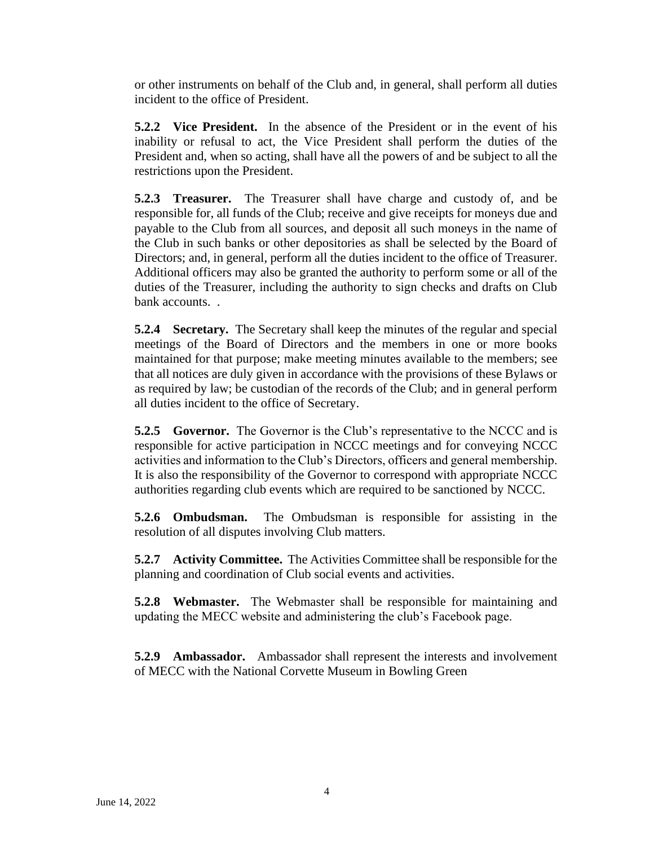or other instruments on behalf of the Club and, in general, shall perform all duties incident to the office of President.

**5.2.2 Vice President.** In the absence of the President or in the event of his inability or refusal to act, the Vice President shall perform the duties of the President and, when so acting, shall have all the powers of and be subject to all the restrictions upon the President.

**5.2.3 Treasurer.** The Treasurer shall have charge and custody of, and be responsible for, all funds of the Club; receive and give receipts for moneys due and payable to the Club from all sources, and deposit all such moneys in the name of the Club in such banks or other depositories as shall be selected by the Board of Directors; and, in general, perform all the duties incident to the office of Treasurer. Additional officers may also be granted the authority to perform some or all of the duties of the Treasurer, including the authority to sign checks and drafts on Club bank accounts. .

**5.2.4 Secretary.** The Secretary shall keep the minutes of the regular and special meetings of the Board of Directors and the members in one or more books maintained for that purpose; make meeting minutes available to the members; see that all notices are duly given in accordance with the provisions of these Bylaws or as required by law; be custodian of the records of the Club; and in general perform all duties incident to the office of Secretary.

**5.2.5 Governor.** The Governor is the Club's representative to the NCCC and is responsible for active participation in NCCC meetings and for conveying NCCC activities and information to the Club's Directors, officers and general membership. It is also the responsibility of the Governor to correspond with appropriate NCCC authorities regarding club events which are required to be sanctioned by NCCC.

**5.2.6 Ombudsman.** The Ombudsman is responsible for assisting in the resolution of all disputes involving Club matters.

**5.2.7 Activity Committee.** The Activities Committee shall be responsible for the planning and coordination of Club social events and activities.

**5.2.8 Webmaster.** The Webmaster shall be responsible for maintaining and updating the MECC website and administering the club's Facebook page.

**5.2.9 Ambassador.** Ambassador shall represent the interests and involvement of MECC with the National Corvette Museum in Bowling Green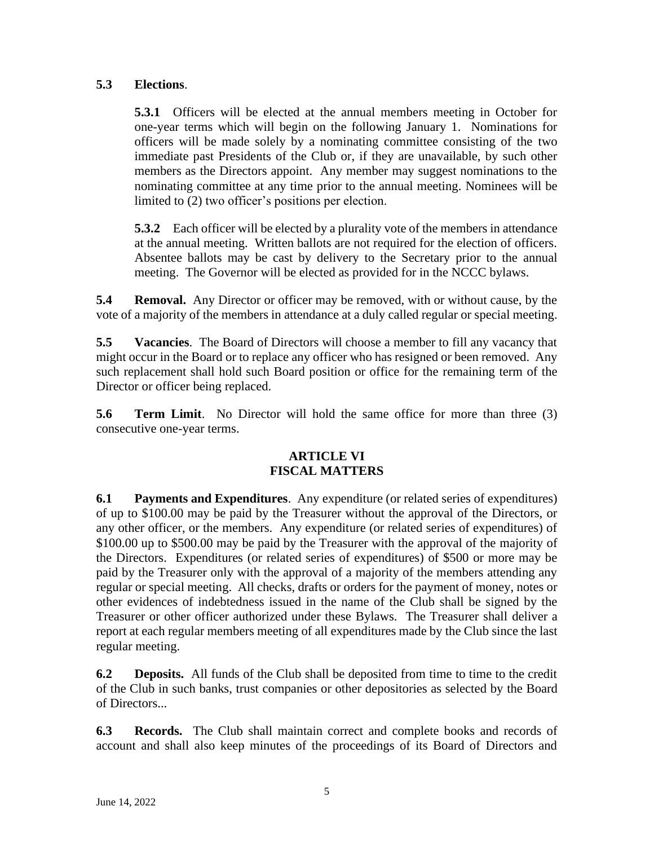# **5.3 Elections**.

**5.3.1** Officers will be elected at the annual members meeting in October for one-year terms which will begin on the following January 1. Nominations for officers will be made solely by a nominating committee consisting of the two immediate past Presidents of the Club or, if they are unavailable, by such other members as the Directors appoint. Any member may suggest nominations to the nominating committee at any time prior to the annual meeting. Nominees will be limited to (2) two officer's positions per election.

**5.3.2** Each officer will be elected by a plurality vote of the members in attendance at the annual meeting. Written ballots are not required for the election of officers. Absentee ballots may be cast by delivery to the Secretary prior to the annual meeting. The Governor will be elected as provided for in the NCCC bylaws.

**5.4 Removal.** Any Director or officer may be removed, with or without cause, by the vote of a majority of the members in attendance at a duly called regular or special meeting.

**5.5 Vacancies**. The Board of Directors will choose a member to fill any vacancy that might occur in the Board or to replace any officer who has resigned or been removed. Any such replacement shall hold such Board position or office for the remaining term of the Director or officer being replaced.

**5.6 Term Limit**. No Director will hold the same office for more than three (3) consecutive one-year terms.

## **ARTICLE VI FISCAL MATTERS**

**6.1 Payments and Expenditures**. Any expenditure (or related series of expenditures) of up to \$100.00 may be paid by the Treasurer without the approval of the Directors, or any other officer, or the members. Any expenditure (or related series of expenditures) of \$100.00 up to \$500.00 may be paid by the Treasurer with the approval of the majority of the Directors. Expenditures (or related series of expenditures) of \$500 or more may be paid by the Treasurer only with the approval of a majority of the members attending any regular or special meeting. All checks, drafts or orders for the payment of money, notes or other evidences of indebtedness issued in the name of the Club shall be signed by the Treasurer or other officer authorized under these Bylaws. The Treasurer shall deliver a report at each regular members meeting of all expenditures made by the Club since the last regular meeting.

**6.2 Deposits.** All funds of the Club shall be deposited from time to time to the credit of the Club in such banks, trust companies or other depositories as selected by the Board of Directors...

**6.3 Records.** The Club shall maintain correct and complete books and records of account and shall also keep minutes of the proceedings of its Board of Directors and